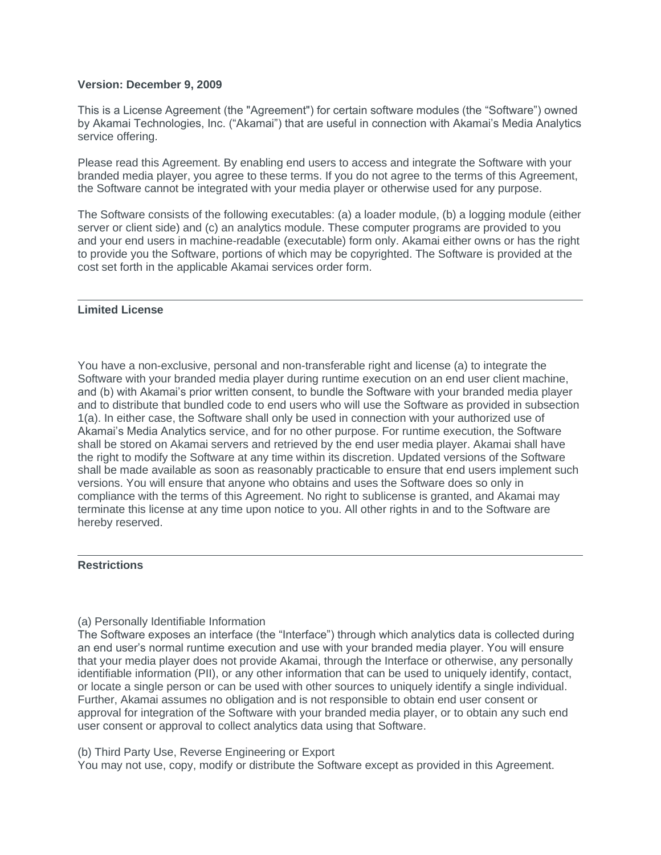### **Version: December 9, 2009**

This is a License Agreement (the "Agreement") for certain software modules (the "Software") owned by Akamai Technologies, Inc. ("Akamai") that are useful in connection with Akamai's Media Analytics service offering.

Please read this Agreement. By enabling end users to access and integrate the Software with your branded media player, you agree to these terms. If you do not agree to the terms of this Agreement, the Software cannot be integrated with your media player or otherwise used for any purpose.

The Software consists of the following executables: (a) a loader module, (b) a logging module (either server or client side) and (c) an analytics module. These computer programs are provided to you and your end users in machine-readable (executable) form only. Akamai either owns or has the right to provide you the Software, portions of which may be copyrighted. The Software is provided at the cost set forth in the applicable Akamai services order form.

## **Limited License**

You have a non-exclusive, personal and non-transferable right and license (a) to integrate the Software with your branded media player during runtime execution on an end user client machine, and (b) with Akamai's prior written consent, to bundle the Software with your branded media player and to distribute that bundled code to end users who will use the Software as provided in subsection 1(a). In either case, the Software shall only be used in connection with your authorized use of Akamai's Media Analytics service, and for no other purpose. For runtime execution, the Software shall be stored on Akamai servers and retrieved by the end user media player. Akamai shall have the right to modify the Software at any time within its discretion. Updated versions of the Software shall be made available as soon as reasonably practicable to ensure that end users implement such versions. You will ensure that anyone who obtains and uses the Software does so only in compliance with the terms of this Agreement. No right to sublicense is granted, and Akamai may terminate this license at any time upon notice to you. All other rights in and to the Software are hereby reserved.

## **Restrictions**

# (a) Personally Identifiable Information

The Software exposes an interface (the "Interface") through which analytics data is collected during an end user's normal runtime execution and use with your branded media player. You will ensure that your media player does not provide Akamai, through the Interface or otherwise, any personally identifiable information (PII), or any other information that can be used to uniquely identify, contact, or locate a single person or can be used with other sources to uniquely identify a single individual. Further, Akamai assumes no obligation and is not responsible to obtain end user consent or approval for integration of the Software with your branded media player, or to obtain any such end user consent or approval to collect analytics data using that Software.

(b) Third Party Use, Reverse Engineering or Export

You may not use, copy, modify or distribute the Software except as provided in this Agreement.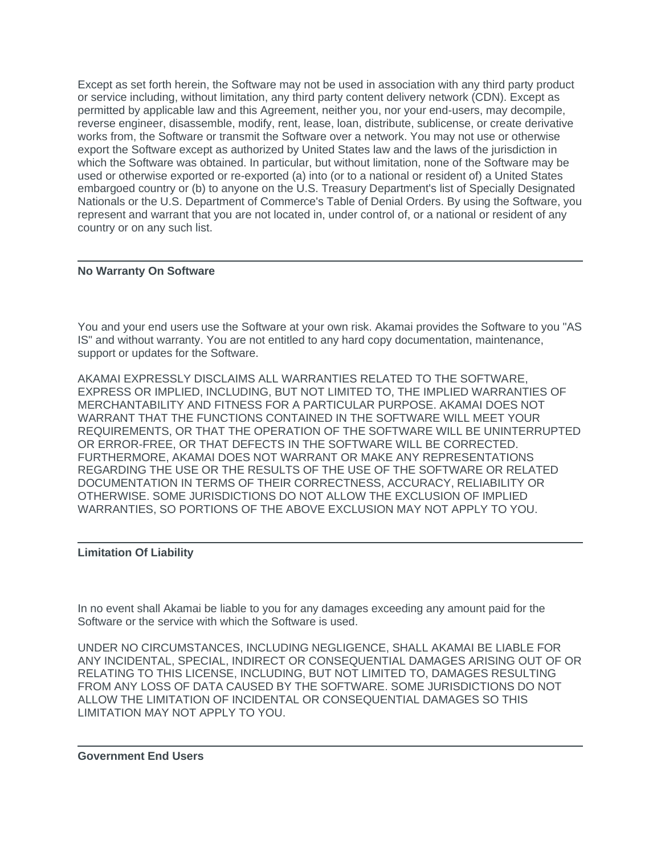Except as set forth herein, the Software may not be used in association with any third party product or service including, without limitation, any third party content delivery network (CDN). Except as permitted by applicable law and this Agreement, neither you, nor your end-users, may decompile, reverse engineer, disassemble, modify, rent, lease, loan, distribute, sublicense, or create derivative works from, the Software or transmit the Software over a network. You may not use or otherwise export the Software except as authorized by United States law and the laws of the jurisdiction in which the Software was obtained. In particular, but without limitation, none of the Software may be used or otherwise exported or re-exported (a) into (or to a national or resident of) a United States embargoed country or (b) to anyone on the U.S. Treasury Department's list of Specially Designated Nationals or the U.S. Department of Commerce's Table of Denial Orders. By using the Software, you represent and warrant that you are not located in, under control of, or a national or resident of any country or on any such list.

# **No Warranty On Software**

You and your end users use the Software at your own risk. Akamai provides the Software to you "AS IS" and without warranty. You are not entitled to any hard copy documentation, maintenance, support or updates for the Software.

AKAMAI EXPRESSLY DISCLAIMS ALL WARRANTIES RELATED TO THE SOFTWARE, EXPRESS OR IMPLIED, INCLUDING, BUT NOT LIMITED TO, THE IMPLIED WARRANTIES OF MERCHANTABILITY AND FITNESS FOR A PARTICULAR PURPOSE. AKAMAI DOES NOT WARRANT THAT THE FUNCTIONS CONTAINED IN THE SOFTWARE WILL MEET YOUR REQUIREMENTS, OR THAT THE OPERATION OF THE SOFTWARE WILL BE UNINTERRUPTED OR ERROR-FREE, OR THAT DEFECTS IN THE SOFTWARE WILL BE CORRECTED. FURTHERMORE, AKAMAI DOES NOT WARRANT OR MAKE ANY REPRESENTATIONS REGARDING THE USE OR THE RESULTS OF THE USE OF THE SOFTWARE OR RELATED DOCUMENTATION IN TERMS OF THEIR CORRECTNESS, ACCURACY, RELIABILITY OR OTHERWISE. SOME JURISDICTIONS DO NOT ALLOW THE EXCLUSION OF IMPLIED WARRANTIES, SO PORTIONS OF THE ABOVE EXCLUSION MAY NOT APPLY TO YOU.

## **Limitation Of Liability**

In no event shall Akamai be liable to you for any damages exceeding any amount paid for the Software or the service with which the Software is used.

UNDER NO CIRCUMSTANCES, INCLUDING NEGLIGENCE, SHALL AKAMAI BE LIABLE FOR ANY INCIDENTAL, SPECIAL, INDIRECT OR CONSEQUENTIAL DAMAGES ARISING OUT OF OR RELATING TO THIS LICENSE, INCLUDING, BUT NOT LIMITED TO, DAMAGES RESULTING FROM ANY LOSS OF DATA CAUSED BY THE SOFTWARE. SOME JURISDICTIONS DO NOT ALLOW THE LIMITATION OF INCIDENTAL OR CONSEQUENTIAL DAMAGES SO THIS LIMITATION MAY NOT APPLY TO YOU.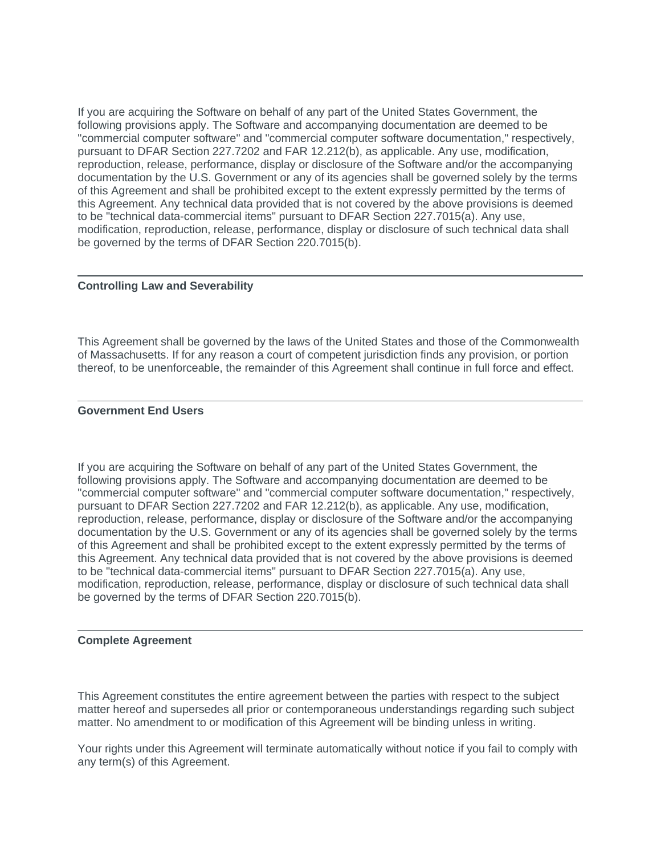If you are acquiring the Software on behalf of any part of the United States Government, the following provisions apply. The Software and accompanying documentation are deemed to be "commercial computer software" and "commercial computer software documentation," respectively, pursuant to DFAR Section 227.7202 and FAR 12.212(b), as applicable. Any use, modification, reproduction, release, performance, display or disclosure of the Software and/or the accompanying documentation by the U.S. Government or any of its agencies shall be governed solely by the terms of this Agreement and shall be prohibited except to the extent expressly permitted by the terms of this Agreement. Any technical data provided that is not covered by the above provisions is deemed to be "technical data-commercial items" pursuant to DFAR Section 227.7015(a). Any use, modification, reproduction, release, performance, display or disclosure of such technical data shall be governed by the terms of DFAR Section 220.7015(b).

## **Controlling Law and Severability**

This Agreement shall be governed by the laws of the United States and those of the Commonwealth of Massachusetts. If for any reason a court of competent jurisdiction finds any provision, or portion thereof, to be unenforceable, the remainder of this Agreement shall continue in full force and effect.

## **Government End Users**

If you are acquiring the Software on behalf of any part of the United States Government, the following provisions apply. The Software and accompanying documentation are deemed to be "commercial computer software" and "commercial computer software documentation," respectively, pursuant to DFAR Section 227.7202 and FAR 12.212(b), as applicable. Any use, modification, reproduction, release, performance, display or disclosure of the Software and/or the accompanying documentation by the U.S. Government or any of its agencies shall be governed solely by the terms of this Agreement and shall be prohibited except to the extent expressly permitted by the terms of this Agreement. Any technical data provided that is not covered by the above provisions is deemed to be "technical data-commercial items" pursuant to DFAR Section 227.7015(a). Any use, modification, reproduction, release, performance, display or disclosure of such technical data shall be governed by the terms of DFAR Section 220.7015(b).

#### **Complete Agreement**

This Agreement constitutes the entire agreement between the parties with respect to the subject matter hereof and supersedes all prior or contemporaneous understandings regarding such subject matter. No amendment to or modification of this Agreement will be binding unless in writing.

Your rights under this Agreement will terminate automatically without notice if you fail to comply with any term(s) of this Agreement.